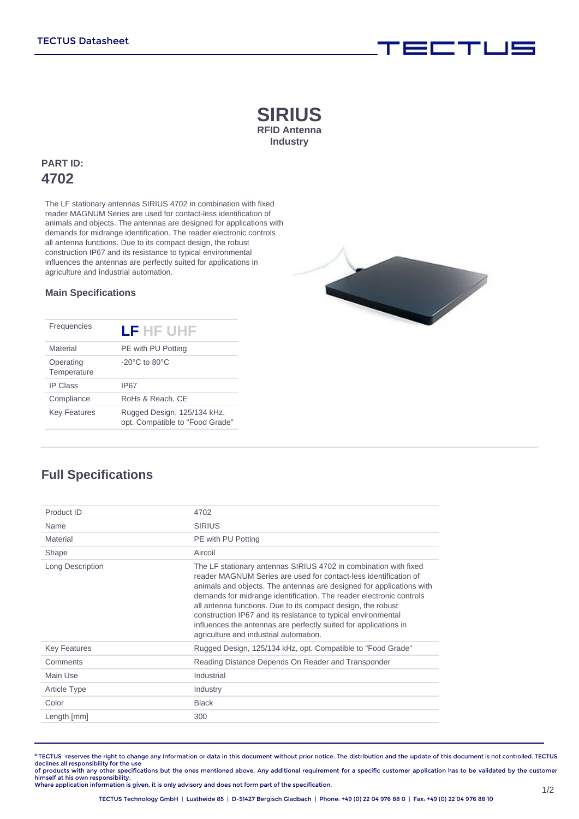### **SIRIUS RFID Antenna Industry**

### **PART ID: 4702**

The LF stationary antennas SIRIUS 4702 in combination with fixed reader MAGNUM Series are used for contact-less identification of animals and objects. The antennas are designed for applications with demands for midrange identification. The reader electronic controls all antenna functions. Due to its compact design, the robust construction IP67 and its resistance to typical environmental influences the antennas are perfectly suited for applications in agriculture and industrial automation.

#### **Main Specifications**

| Frequencies              | LF HF UHF                                                      |
|--------------------------|----------------------------------------------------------------|
| Material                 | PE with PU Potting                                             |
| Operating<br>Temperature | $-20^{\circ}$ C to 80 $^{\circ}$ C                             |
| <b>IP Class</b>          | <b>IP67</b>                                                    |
| Compliance               | RoHs & Reach. CE                                               |
| <b>Key Features</b>      | Rugged Design, 125/134 kHz,<br>opt. Compatible to "Food Grade" |



## **Full Specifications**

| Product ID          | 4702                                                                                                                                                                                                                                                                                                                                                                                                                                                                                                                               |
|---------------------|------------------------------------------------------------------------------------------------------------------------------------------------------------------------------------------------------------------------------------------------------------------------------------------------------------------------------------------------------------------------------------------------------------------------------------------------------------------------------------------------------------------------------------|
| Name                | <b>SIRIUS</b>                                                                                                                                                                                                                                                                                                                                                                                                                                                                                                                      |
| Material            | PE with PU Potting                                                                                                                                                                                                                                                                                                                                                                                                                                                                                                                 |
| Shape               | Aircoil                                                                                                                                                                                                                                                                                                                                                                                                                                                                                                                            |
| Long Description    | The LF stationary antennas SIRIUS 4702 in combination with fixed<br>reader MAGNUM Series are used for contact-less identification of<br>animals and objects. The antennas are designed for applications with<br>demands for midrange identification. The reader electronic controls<br>all antenna functions. Due to its compact design, the robust<br>construction IP67 and its resistance to typical environmental<br>influences the antennas are perfectly suited for applications in<br>agriculture and industrial automation. |
| <b>Key Features</b> | Rugged Design, 125/134 kHz, opt. Compatible to "Food Grade"                                                                                                                                                                                                                                                                                                                                                                                                                                                                        |
| Comments            | Reading Distance Depends On Reader and Transponder                                                                                                                                                                                                                                                                                                                                                                                                                                                                                 |
| Main Use            | Industrial                                                                                                                                                                                                                                                                                                                                                                                                                                                                                                                         |
| <b>Article Type</b> | Industry                                                                                                                                                                                                                                                                                                                                                                                                                                                                                                                           |
| Color               | <b>Black</b>                                                                                                                                                                                                                                                                                                                                                                                                                                                                                                                       |
| Length [mm]         | 300                                                                                                                                                                                                                                                                                                                                                                                                                                                                                                                                |
|                     |                                                                                                                                                                                                                                                                                                                                                                                                                                                                                                                                    |

**©** TECTUS reserves the right to change any information or data in this document without prior notice. The distribution and the update of this document is not controlled. TECTUS declines all responsibility for the use<br>of products with any other specifications but the ones mentioned above. Any additional requirement for a specific customer application has to be validated by the customer

himself at his own responsibility. Where application information is given, it is only advisory and does not form part of the specification.